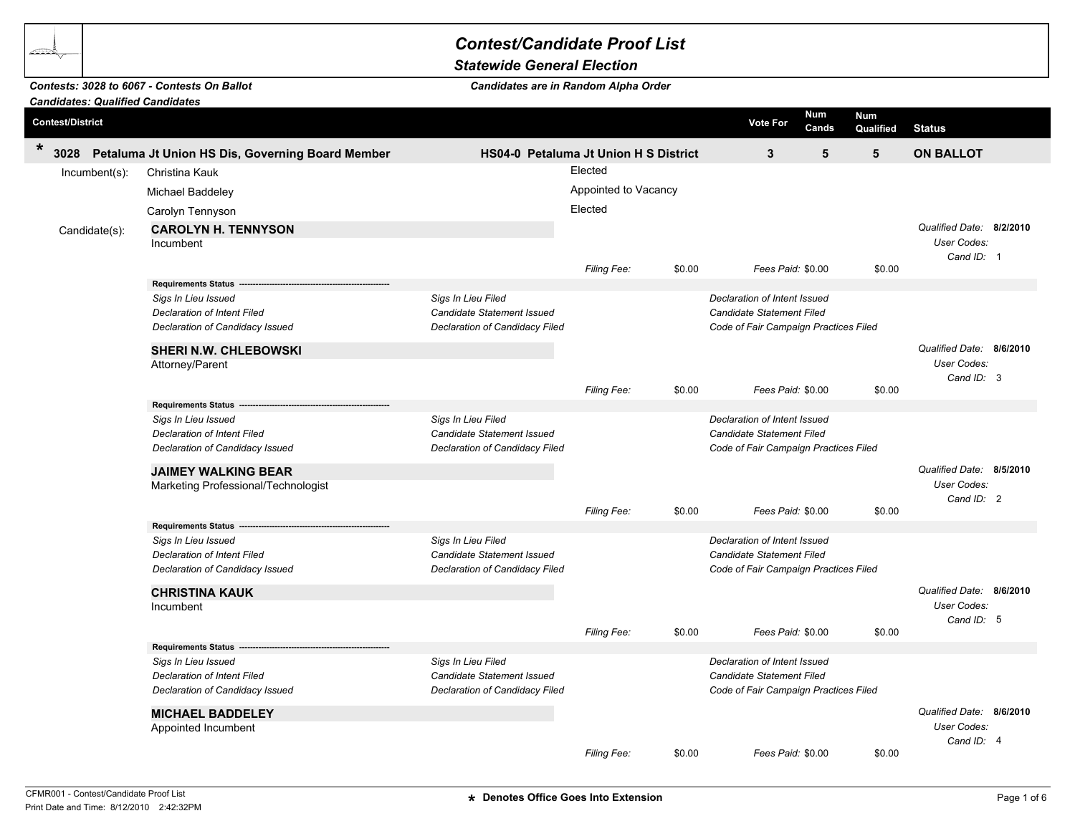## *Contest/Candidate Proof List*

## *Statewide General Election*

## *Candidates are in Random Alpha Order*

|                         | <b>Candidates: Qualified Candidates</b> |                                                                       |                                                              |                      |        |                                                                    |                         |                          |  |
|-------------------------|-----------------------------------------|-----------------------------------------------------------------------|--------------------------------------------------------------|----------------------|--------|--------------------------------------------------------------------|-------------------------|--------------------------|--|
| <b>Contest/District</b> |                                         |                                                                       |                                                              |                      |        | Num<br><b>Vote For</b><br>Cands                                    | <b>Num</b><br>Qualified | <b>Status</b>            |  |
| $\ast$<br>3028          |                                         | Petaluma Jt Union HS Dis, Governing Board Member                      | <b>HS04-0 Petaluma Jt Union H S District</b>                 |                      |        | $\mathbf{3}$<br>5                                                  | 5                       | <b>ON BALLOT</b>         |  |
|                         | $Incumbent(s)$ :                        | Christina Kauk                                                        |                                                              | Elected              |        |                                                                    |                         |                          |  |
|                         |                                         | Michael Baddeley                                                      |                                                              | Appointed to Vacancy |        |                                                                    |                         |                          |  |
|                         |                                         | Carolyn Tennyson                                                      |                                                              | Elected              |        |                                                                    |                         |                          |  |
|                         |                                         | <b>CAROLYN H. TENNYSON</b>                                            |                                                              |                      |        |                                                                    |                         | Qualified Date: 8/2/2010 |  |
|                         | Candidate(s):                           | Incumbent                                                             |                                                              |                      |        |                                                                    |                         | <b>User Codes:</b>       |  |
|                         |                                         |                                                                       |                                                              |                      |        |                                                                    |                         | Cand ID: 1               |  |
|                         |                                         |                                                                       |                                                              | Filing Fee:          | \$0.00 | Fees Paid: \$0.00                                                  | \$0.00                  |                          |  |
|                         |                                         | <b>Requirements Status -</b>                                          |                                                              |                      |        |                                                                    |                         |                          |  |
|                         |                                         | Sigs In Lieu Issued                                                   | Sigs In Lieu Filed                                           |                      |        | Declaration of Intent Issued                                       |                         |                          |  |
|                         |                                         | <b>Declaration of Intent Filed</b><br>Declaration of Candidacy Issued | Candidate Statement Issued<br>Declaration of Candidacy Filed |                      |        | Candidate Statement Filed<br>Code of Fair Campaign Practices Filed |                         |                          |  |
|                         |                                         |                                                                       |                                                              |                      |        |                                                                    |                         |                          |  |
|                         |                                         | <b>SHERI N.W. CHLEBOWSKI</b>                                          |                                                              |                      |        |                                                                    |                         | Qualified Date: 8/6/2010 |  |
|                         |                                         | Attorney/Parent                                                       |                                                              |                      |        |                                                                    |                         | User Codes:              |  |
|                         |                                         |                                                                       |                                                              | Filing Fee:          | \$0.00 | Fees Paid: \$0.00                                                  | \$0.00                  | Cand ID: 3               |  |
|                         |                                         | <b>Requirements Status</b>                                            |                                                              |                      |        |                                                                    |                         |                          |  |
|                         |                                         | Sigs In Lieu Issued                                                   | Sigs In Lieu Filed                                           |                      |        | Declaration of Intent Issued                                       |                         |                          |  |
|                         |                                         | <b>Declaration of Intent Filed</b>                                    | Candidate Statement Issued                                   |                      |        | Candidate Statement Filed                                          |                         |                          |  |
|                         |                                         | Declaration of Candidacy Issued                                       | Declaration of Candidacy Filed                               |                      |        | Code of Fair Campaign Practices Filed                              |                         |                          |  |
|                         |                                         | <b>JAIMEY WALKING BEAR</b>                                            |                                                              |                      |        |                                                                    |                         | Qualified Date: 8/5/2010 |  |
|                         |                                         | Marketing Professional/Technologist                                   |                                                              |                      |        |                                                                    |                         | <b>User Codes:</b>       |  |
|                         |                                         |                                                                       |                                                              |                      |        |                                                                    |                         | Cand $ID: 2$             |  |
|                         |                                         |                                                                       |                                                              | Filing Fee:          | \$0.00 | Fees Paid: \$0.00                                                  | \$0.00                  |                          |  |
|                         |                                         | Requirements Status ---<br>Sigs In Lieu Issued                        | Sigs In Lieu Filed                                           |                      |        | Declaration of Intent Issued                                       |                         |                          |  |
|                         |                                         | <b>Declaration of Intent Filed</b>                                    | <b>Candidate Statement Issued</b>                            |                      |        | Candidate Statement Filed                                          |                         |                          |  |
|                         |                                         | Declaration of Candidacy Issued                                       | Declaration of Candidacy Filed                               |                      |        | Code of Fair Campaign Practices Filed                              |                         |                          |  |
|                         |                                         |                                                                       |                                                              |                      |        |                                                                    |                         | Qualified Date: 8/6/2010 |  |
|                         |                                         | <b>CHRISTINA KAUK</b><br>Incumbent                                    |                                                              |                      |        |                                                                    |                         | User Codes:              |  |
|                         |                                         |                                                                       |                                                              |                      |        |                                                                    |                         | Cand ID: 5               |  |
|                         |                                         |                                                                       |                                                              | <b>Filing Fee:</b>   | \$0.00 | Fees Paid: \$0.00                                                  | \$0.00                  |                          |  |
|                         |                                         | Requirements Status -------                                           |                                                              |                      |        |                                                                    |                         |                          |  |
|                         |                                         | Sigs In Lieu Issued                                                   | Sigs In Lieu Filed                                           |                      |        | Declaration of Intent Issued                                       |                         |                          |  |
|                         |                                         | <b>Declaration of Intent Filed</b>                                    | Candidate Statement Issued                                   |                      |        | Candidate Statement Filed                                          |                         |                          |  |
|                         |                                         | Declaration of Candidacy Issued                                       | Declaration of Candidacy Filed                               |                      |        | Code of Fair Campaign Practices Filed                              |                         |                          |  |
|                         |                                         | <b>MICHAEL BADDELEY</b>                                               |                                                              |                      |        |                                                                    |                         | Qualified Date: 8/6/2010 |  |
|                         |                                         | Appointed Incumbent                                                   |                                                              |                      |        |                                                                    |                         | <b>User Codes:</b>       |  |
|                         |                                         |                                                                       |                                                              | <b>Filing Fee:</b>   | \$0.00 | Fees Paid: \$0.00                                                  | \$0.00                  | Cand ID: 4               |  |

*Contests: 3028 to 6067 - Contests On Ballot*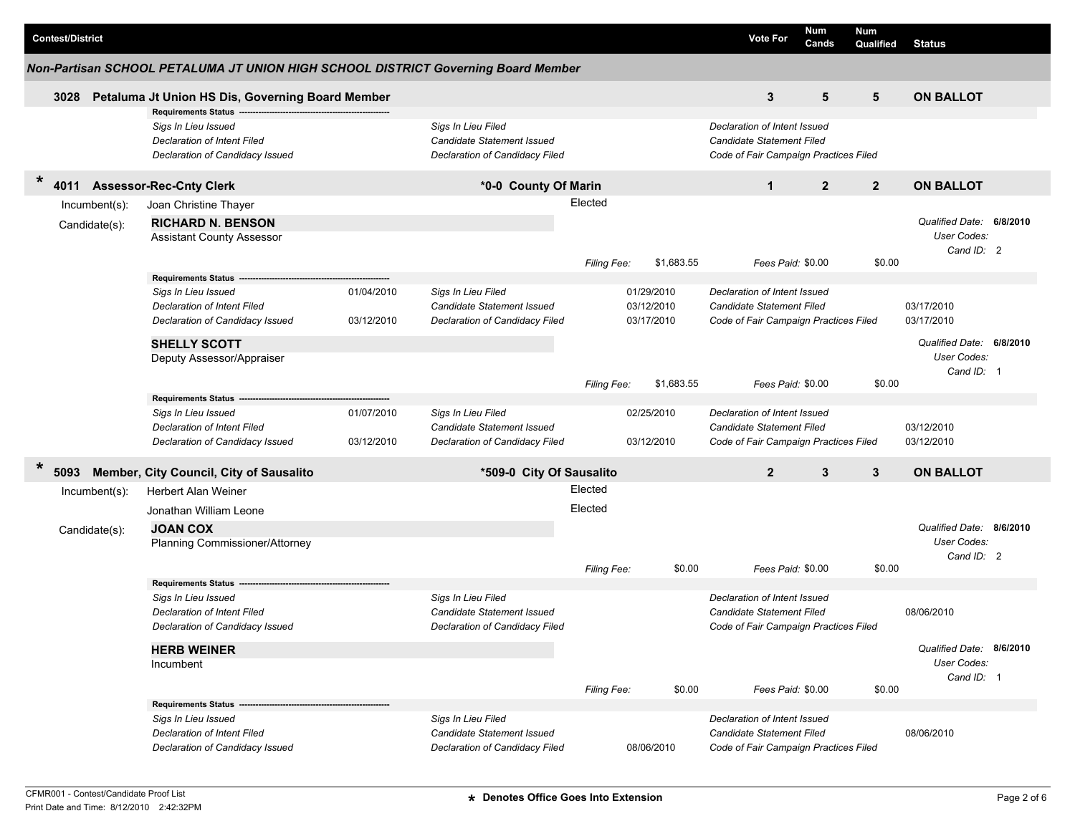| <b>Contest/District</b>           |                                                                                                                                             |                          |                                                                                           |                    |                                        |            | <b>Vote For</b>                                                                                    | Num<br>Cands   | Num<br>Qualified | <b>Status</b>                                         |  |
|-----------------------------------|---------------------------------------------------------------------------------------------------------------------------------------------|--------------------------|-------------------------------------------------------------------------------------------|--------------------|----------------------------------------|------------|----------------------------------------------------------------------------------------------------|----------------|------------------|-------------------------------------------------------|--|
|                                   | Non-Partisan SCHOOL PETALUMA JT UNION HIGH SCHOOL DISTRICT Governing Board Member                                                           |                          |                                                                                           |                    |                                        |            |                                                                                                    |                |                  |                                                       |  |
| 3028                              | Petaluma Jt Union HS Dis, Governing Board Member                                                                                            |                          |                                                                                           |                    |                                        |            | 3                                                                                                  | 5              | 5                | <b>ON BALLOT</b>                                      |  |
|                                   | <b>Requirements Status -</b><br>Sigs In Lieu Issued<br>Declaration of Intent Filed<br>Declaration of Candidacy Issued                       |                          | Sigs In Lieu Filed<br>Candidate Statement Issued<br>Declaration of Candidacy Filed        |                    |                                        |            | Declaration of Intent Issued<br>Candidate Statement Filed<br>Code of Fair Campaign Practices Filed |                |                  |                                                       |  |
| $\ast$<br>4011                    | <b>Assessor-Rec-Cnty Clerk</b>                                                                                                              |                          | *0-0 County Of Marin                                                                      |                    |                                        |            | $\mathbf{1}$                                                                                       | $\overline{2}$ | $\overline{2}$   | <b>ON BALLOT</b>                                      |  |
| $lncumbent(s)$ :<br>Candidate(s): | Joan Christine Thayer<br><b>RICHARD N. BENSON</b><br><b>Assistant County Assessor</b>                                                       |                          |                                                                                           | Elected            |                                        |            |                                                                                                    |                |                  | Qualified Date: 6/8/2010<br>User Codes:               |  |
|                                   |                                                                                                                                             |                          |                                                                                           | Filing Fee:        |                                        | \$1,683.55 | Fees Paid: \$0.00                                                                                  |                | \$0.00           | Cand ID: 2                                            |  |
|                                   | Requirements Status -------<br>Sigs In Lieu Issued<br>Declaration of Intent Filed<br>Declaration of Candidacy Issued<br><b>SHELLY SCOTT</b> | 01/04/2010<br>03/12/2010 | Sigs In Lieu Filed<br><b>Candidate Statement Issued</b><br>Declaration of Candidacy Filed |                    | 01/29/2010<br>03/12/2010<br>03/17/2010 |            | Declaration of Intent Issued<br>Candidate Statement Filed<br>Code of Fair Campaign Practices Filed |                |                  | 03/17/2010<br>03/17/2010<br>Qualified Date: 6/8/2010  |  |
|                                   | Deputy Assessor/Appraiser                                                                                                                   |                          |                                                                                           | Filing Fee:        |                                        | \$1,683.55 | Fees Paid: \$0.00                                                                                  |                | \$0.00           | User Codes:<br>Cand ID: 1                             |  |
|                                   | <b>Requirements Status</b><br>Sigs In Lieu Issued<br>Declaration of Intent Filed<br>Declaration of Candidacy Issued                         | 01/07/2010<br>03/12/2010 | Sigs In Lieu Filed<br>Candidate Statement Issued<br>Declaration of Candidacy Filed        |                    | 02/25/2010<br>03/12/2010               |            | Declaration of Intent Issued<br>Candidate Statement Filed<br>Code of Fair Campaign Practices Filed |                |                  | 03/12/2010<br>03/12/2010                              |  |
| $\ast$<br>5093                    | Member, City Council, City of Sausalito                                                                                                     |                          | *509-0 City Of Sausalito                                                                  |                    |                                        |            | $\overline{2}$                                                                                     | $\mathbf{3}$   | 3                | <b>ON BALLOT</b>                                      |  |
| Incumbent(s):<br>Candidate(s):    | Herbert Alan Weiner<br>Jonathan William Leone<br><b>JOAN COX</b><br>Planning Commissioner/Attorney                                          |                          |                                                                                           | Elected<br>Elected |                                        |            |                                                                                                    |                |                  | Qualified Date: 8/6/2010<br>User Codes:<br>Cand ID: 2 |  |
|                                   |                                                                                                                                             |                          |                                                                                           | Filing Fee:        |                                        | \$0.00     | Fees Paid: \$0.00                                                                                  |                | \$0.00           |                                                       |  |
|                                   | <b>Requirements Status</b><br>Sigs In Lieu Issued<br>Declaration of Intent Filed<br>Declaration of Candidacy Issued                         |                          | Sigs In Lieu Filed<br>Candidate Statement Issued<br>Declaration of Candidacy Filed        |                    |                                        |            | Declaration of Intent Issued<br>Candidate Statement Filed<br>Code of Fair Campaign Practices Filed |                |                  | 08/06/2010                                            |  |
|                                   | <b>HERB WEINER</b><br>Incumbent                                                                                                             |                          |                                                                                           | Filing Fee:        |                                        | \$0.00     | Fees Paid: \$0.00                                                                                  |                | \$0.00           | Qualified Date: 8/6/2010<br>User Codes:<br>Cand ID: 1 |  |
|                                   | Requirements Status --<br>Sigs In Lieu Issued<br>Declaration of Intent Filed<br>Declaration of Candidacy Issued                             |                          | Sigs In Lieu Filed<br>Candidate Statement Issued<br>Declaration of Candidacy Filed        |                    | 08/06/2010                             |            | Declaration of Intent Issued<br>Candidate Statement Filed<br>Code of Fair Campaign Practices Filed |                |                  | 08/06/2010                                            |  |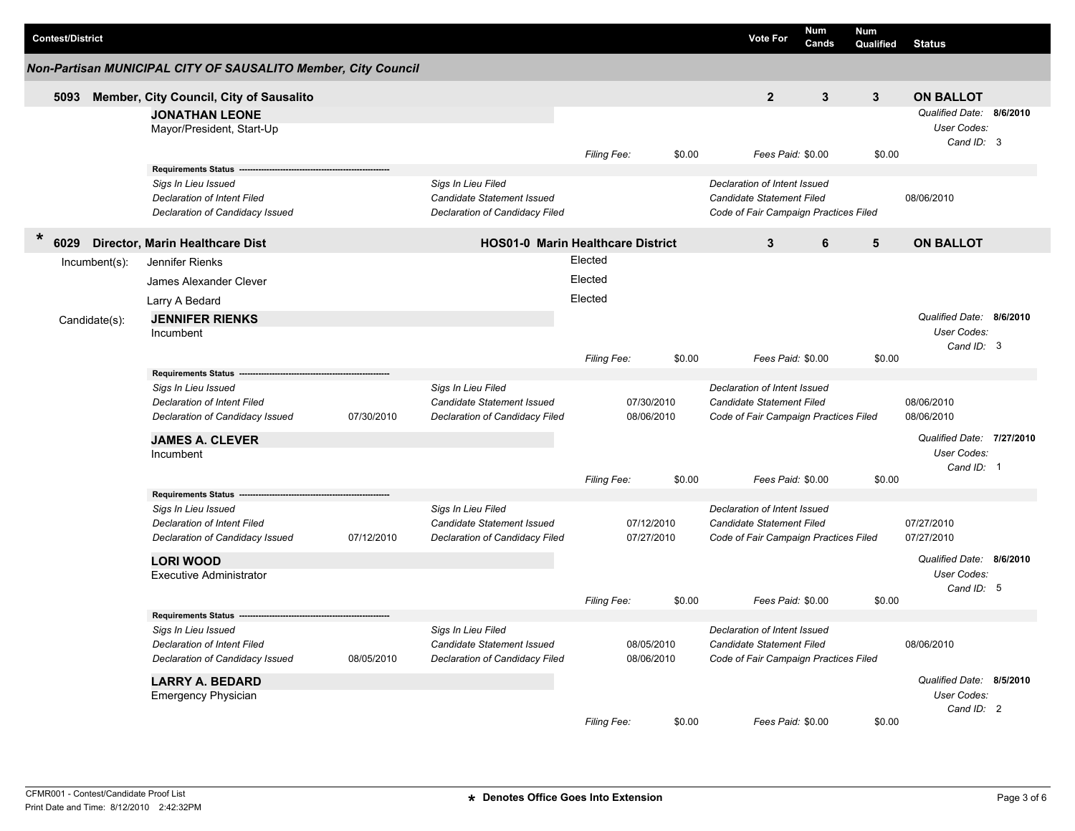|        | <b>Contest/District</b> |                  |                                                                |            |                                                  |                    |            |        | <b>Vote For</b>                                           | <b>Num</b><br>Cands | <b>Num</b><br>Qualified | <b>Status</b>             |  |
|--------|-------------------------|------------------|----------------------------------------------------------------|------------|--------------------------------------------------|--------------------|------------|--------|-----------------------------------------------------------|---------------------|-------------------------|---------------------------|--|
|        |                         |                  | Non-Partisan MUNICIPAL CITY OF SAUSALITO Member, City Council  |            |                                                  |                    |            |        |                                                           |                     |                         |                           |  |
|        | 5093                    |                  | Member, City Council, City of Sausalito                        |            |                                                  |                    |            |        | $\overline{2}$                                            | 3                   | $\mathbf{3}$            | <b>ON BALLOT</b>          |  |
|        |                         |                  | <b>JONATHAN LEONE</b>                                          |            |                                                  |                    |            |        |                                                           |                     |                         | Qualified Date: 8/6/2010  |  |
|        |                         |                  | Mayor/President, Start-Up                                      |            |                                                  |                    |            |        |                                                           |                     |                         | User Codes:               |  |
|        |                         |                  |                                                                |            |                                                  |                    |            |        |                                                           |                     |                         | Cand ID: 3                |  |
|        |                         |                  |                                                                |            |                                                  | Filing Fee:        |            | \$0.00 | Fees Paid: \$0.00                                         |                     | \$0.00                  |                           |  |
|        |                         |                  | Requirements Status --                                         |            |                                                  |                    |            |        |                                                           |                     |                         |                           |  |
|        |                         |                  | Sigs In Lieu Issued                                            |            | Sigs In Lieu Filed                               |                    |            |        | Declaration of Intent Issued                              |                     |                         |                           |  |
|        |                         |                  | <b>Declaration of Intent Filed</b>                             |            | Candidate Statement Issued                       |                    |            |        | Candidate Statement Filed                                 |                     |                         | 08/06/2010                |  |
|        |                         |                  | Declaration of Candidacy Issued                                |            | Declaration of Candidacy Filed                   |                    |            |        | Code of Fair Campaign Practices Filed                     |                     |                         |                           |  |
| $\ast$ | 6029                    |                  | Director, Marin Healthcare Dist                                |            | <b>HOS01-0 Marin Healthcare District</b>         |                    |            |        | 3                                                         | 6                   | 5                       | <b>ON BALLOT</b>          |  |
|        |                         | $Incumbent(s)$ : | Jennifer Rienks                                                |            |                                                  | Elected            |            |        |                                                           |                     |                         |                           |  |
|        |                         |                  | James Alexander Clever                                         |            |                                                  | Elected            |            |        |                                                           |                     |                         |                           |  |
|        |                         |                  | Larry A Bedard                                                 |            |                                                  | Elected            |            |        |                                                           |                     |                         |                           |  |
|        |                         |                  |                                                                |            |                                                  |                    |            |        |                                                           |                     |                         | Qualified Date: 8/6/2010  |  |
|        |                         | Candidate(s):    | <b>JENNIFER RIENKS</b>                                         |            |                                                  |                    |            |        |                                                           |                     |                         | User Codes:               |  |
|        |                         |                  | Incumbent                                                      |            |                                                  |                    |            |        |                                                           |                     |                         | Cand ID: 3                |  |
|        |                         |                  |                                                                |            |                                                  | <b>Filing Fee:</b> |            | \$0.00 | Fees Paid: \$0.00                                         |                     | \$0.00                  |                           |  |
|        |                         |                  | Requirements Status --                                         |            |                                                  |                    |            |        |                                                           |                     |                         |                           |  |
|        |                         |                  | Sigs In Lieu Issued                                            |            | Sigs In Lieu Filed                               |                    |            |        | Declaration of Intent Issued                              |                     |                         |                           |  |
|        |                         |                  | Declaration of Intent Filed                                    |            | <b>Candidate Statement Issued</b>                |                    | 07/30/2010 |        | Candidate Statement Filed                                 |                     |                         | 08/06/2010                |  |
|        |                         |                  | Declaration of Candidacy Issued                                | 07/30/2010 | Declaration of Candidacy Filed                   |                    | 08/06/2010 |        | Code of Fair Campaign Practices Filed                     |                     |                         | 08/06/2010                |  |
|        |                         |                  | <b>JAMES A. CLEVER</b>                                         |            |                                                  |                    |            |        |                                                           |                     |                         | Qualified Date: 7/27/2010 |  |
|        |                         |                  | Incumbent                                                      |            |                                                  |                    |            |        |                                                           |                     |                         | User Codes:               |  |
|        |                         |                  |                                                                |            |                                                  |                    |            |        |                                                           |                     |                         | Cand ID: 1                |  |
|        |                         |                  |                                                                |            |                                                  | Filing Fee:        |            | \$0.00 | Fees Paid: \$0.00                                         |                     | \$0.00                  |                           |  |
|        |                         |                  | Requirements Status --                                         |            |                                                  |                    |            |        |                                                           |                     |                         |                           |  |
|        |                         |                  | Sigs In Lieu Issued                                            |            | Sigs In Lieu Filed<br>Candidate Statement Issued |                    | 07/12/2010 |        | Declaration of Intent Issued<br>Candidate Statement Filed |                     |                         | 07/27/2010                |  |
|        |                         |                  | Declaration of Intent Filed<br>Declaration of Candidacy Issued | 07/12/2010 | Declaration of Candidacy Filed                   |                    | 07/27/2010 |        | Code of Fair Campaign Practices Filed                     |                     |                         | 07/27/2010                |  |
|        |                         |                  |                                                                |            |                                                  |                    |            |        |                                                           |                     |                         |                           |  |
|        |                         |                  | <b>LORI WOOD</b>                                               |            |                                                  |                    |            |        |                                                           |                     |                         | Qualified Date: 8/6/2010  |  |
|        |                         |                  | <b>Executive Administrator</b>                                 |            |                                                  |                    |            |        |                                                           |                     |                         | User Codes:               |  |
|        |                         |                  |                                                                |            |                                                  | <b>Filing Fee:</b> |            | \$0.00 | Fees Paid: \$0.00                                         |                     | \$0.00                  | Cand ID: 5                |  |
|        |                         |                  | Requirements Status ----                                       |            |                                                  |                    |            |        |                                                           |                     |                         |                           |  |
|        |                         |                  | Sigs In Lieu Issued                                            |            | Sigs In Lieu Filed                               |                    |            |        | Declaration of Intent Issued                              |                     |                         |                           |  |
|        |                         |                  | Declaration of Intent Filed                                    |            | Candidate Statement Issued                       |                    | 08/05/2010 |        | Candidate Statement Filed                                 |                     |                         | 08/06/2010                |  |
|        |                         |                  | Declaration of Candidacy Issued                                | 08/05/2010 | Declaration of Candidacy Filed                   |                    | 08/06/2010 |        | Code of Fair Campaign Practices Filed                     |                     |                         |                           |  |
|        |                         |                  | <b>LARRY A. BEDARD</b>                                         |            |                                                  |                    |            |        |                                                           |                     |                         | Qualified Date: 8/5/2010  |  |
|        |                         |                  | <b>Emergency Physician</b>                                     |            |                                                  |                    |            |        |                                                           |                     |                         | User Codes:               |  |
|        |                         |                  |                                                                |            |                                                  |                    |            |        |                                                           |                     |                         | Cand ID: 2                |  |
|        |                         |                  |                                                                |            |                                                  | Filing Fee:        |            | \$0.00 | Fees Paid: \$0.00                                         |                     | \$0.00                  |                           |  |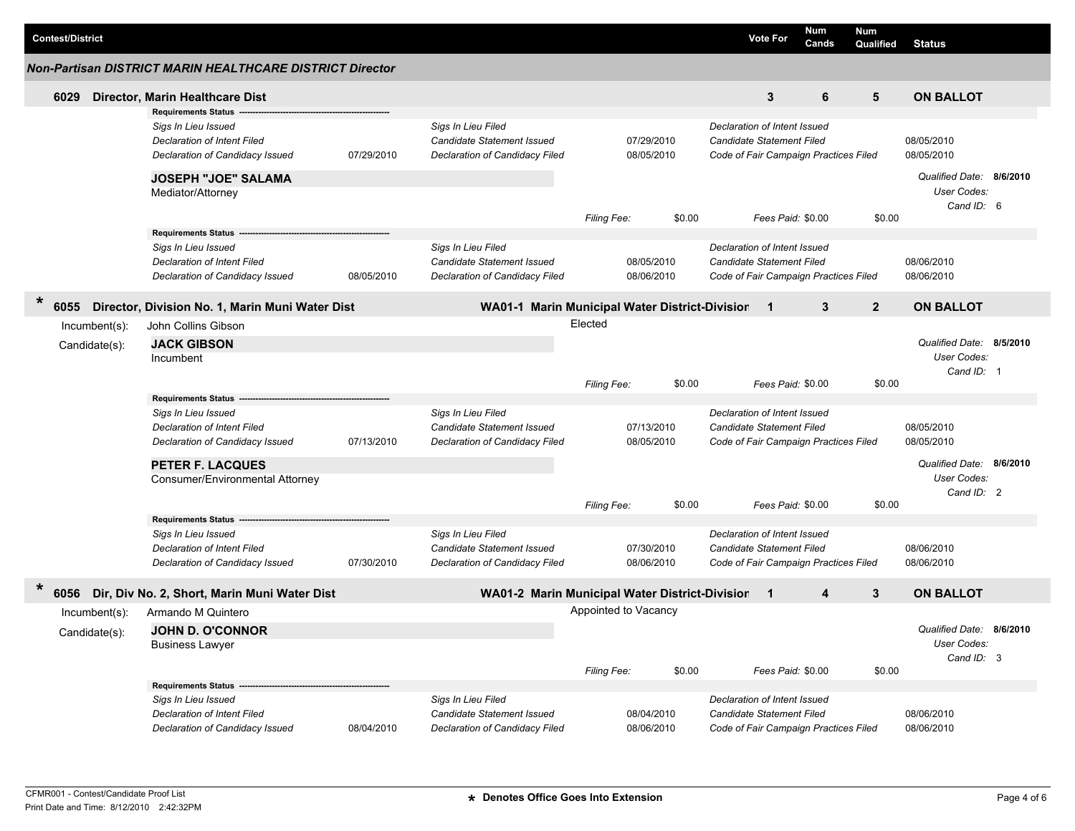|                                                                 |  |                                                                                                                                                            |            |                                                                                           |                        |                          |        |                                                                                                           |                   | Num   | Num            |                                                                                          |  |
|-----------------------------------------------------------------|--|------------------------------------------------------------------------------------------------------------------------------------------------------------|------------|-------------------------------------------------------------------------------------------|------------------------|--------------------------|--------|-----------------------------------------------------------------------------------------------------------|-------------------|-------|----------------|------------------------------------------------------------------------------------------|--|
| <b>Contest/District</b>                                         |  |                                                                                                                                                            |            |                                                                                           |                        |                          |        |                                                                                                           | <b>Vote For</b>   | Cands | Qualified      | <b>Status</b>                                                                            |  |
| <b>Non-Partisan DISTRICT MARIN HEALTHCARE DISTRICT Director</b> |  |                                                                                                                                                            |            |                                                                                           |                        |                          |        |                                                                                                           |                   |       |                |                                                                                          |  |
| 6029                                                            |  | Director, Marin Healthcare Dist<br><b>Requirements Status</b>                                                                                              |            |                                                                                           |                        |                          |        |                                                                                                           | 3                 | 6     | 5              | <b>ON BALLOT</b>                                                                         |  |
|                                                                 |  | Sigs In Lieu Issued<br><b>Declaration of Intent Filed</b><br>Declaration of Candidacy Issued                                                               | 07/29/2010 | Sigs In Lieu Filed<br>Candidate Statement Issued<br>Declaration of Candidacy Filed        |                        | 07/29/2010<br>08/05/2010 |        | Declaration of Intent Issued<br>Candidate Statement Filed<br>Code of Fair Campaign Practices Filed        |                   |       |                | 08/05/2010<br>08/05/2010                                                                 |  |
|                                                                 |  | <b>JOSEPH "JOE" SALAMA</b><br>Mediator/Attorney<br><b>Requirements Status</b>                                                                              |            |                                                                                           | Filing Fee:            |                          | \$0.00 |                                                                                                           | Fees Paid: \$0.00 |       | \$0.00         | Qualified Date: 8/6/2010<br><b>User Codes:</b><br>Cand ID: 6                             |  |
|                                                                 |  | Sigs In Lieu Issued<br><b>Declaration of Intent Filed</b><br>Declaration of Candidacy Issued                                                               | 08/05/2010 | Sigs In Lieu Filed<br>Candidate Statement Issued<br>Declaration of Candidacy Filed        |                        | 08/05/2010<br>08/06/2010 |        | Declaration of Intent Issued<br><b>Candidate Statement Filed</b><br>Code of Fair Campaign Practices Filed |                   |       |                | 08/06/2010<br>08/06/2010                                                                 |  |
| $\star$<br>6055                                                 |  | Director, Division No. 1, Marin Muni Water Dist                                                                                                            |            | WA01-1 Marin Municipal Water District-Division                                            |                        |                          |        |                                                                                                           | $\mathbf 1$       | 3     | $\overline{2}$ | <b>ON BALLOT</b>                                                                         |  |
| Incumbent(s):<br>Candidate(s):                                  |  | John Collins Gibson<br><b>JACK GIBSON</b><br>Incumbent<br><b>Requirements Status</b>                                                                       |            |                                                                                           | Elected<br>Filing Fee: |                          | \$0.00 | Declaration of Intent Issued                                                                              | Fees Paid: \$0.00 |       | \$0.00         | Qualified Date: 8/5/2010<br>User Codes:<br>Cand ID: 1                                    |  |
|                                                                 |  | Sigs In Lieu Issued<br><b>Declaration of Intent Filed</b><br>Declaration of Candidacy Issued<br><b>PETER F. LACQUES</b><br>Consumer/Environmental Attorney | 07/13/2010 | Sigs In Lieu Filed<br><b>Candidate Statement Issued</b><br>Declaration of Candidacy Filed | Filing Fee:            | 07/13/2010<br>08/05/2010 | \$0.00 | <b>Candidate Statement Filed</b><br>Code of Fair Campaign Practices Filed                                 | Fees Paid: \$0.00 |       | \$0.00         | 08/05/2010<br>08/05/2010<br>Qualified Date: 8/6/2010<br><b>User Codes:</b><br>Cand ID: 2 |  |
|                                                                 |  | <b>Requirements Status</b><br>Sigs In Lieu Issued<br><b>Declaration of Intent Filed</b><br>Declaration of Candidacy Issued                                 | 07/30/2010 | Sigs In Lieu Filed<br>Candidate Statement Issued<br>Declaration of Candidacy Filed        |                        | 07/30/2010<br>08/06/2010 |        | Declaration of Intent Issued<br><b>Candidate Statement Filed</b><br>Code of Fair Campaign Practices Filed |                   |       |                | 08/06/2010<br>08/06/2010                                                                 |  |
| 6056                                                            |  | Dir, Div No. 2, Short, Marin Muni Water Dist                                                                                                               |            | WA01-2 Marin Municipal Water District-Division                                            |                        |                          |        |                                                                                                           | $\mathbf 1$       | 4     | 3              | <b>ON BALLOT</b>                                                                         |  |
| Incumbent(s):<br>Candidate(s):                                  |  | Armando M Quintero<br><b>JOHN D. O'CONNOR</b><br><b>Business Lawyer</b>                                                                                    |            |                                                                                           | Appointed to Vacancy   |                          |        |                                                                                                           |                   |       |                | Qualified Date: 8/6/2010<br>User Codes:<br>Cand ID: 3                                    |  |
|                                                                 |  | <b>Requirements Status</b><br>Sigs In Lieu Issued<br>Declaration of Intent Filed<br>Declaration of Candidacy Issued                                        | 08/04/2010 | Sigs In Lieu Filed<br>Candidate Statement Issued<br>Declaration of Candidacy Filed        | Filing Fee:            | 08/04/2010<br>08/06/2010 | \$0.00 | Declaration of Intent Issued<br><b>Candidate Statement Filed</b><br>Code of Fair Campaign Practices Filed | Fees Paid: \$0.00 |       | \$0.00         | 08/06/2010<br>08/06/2010                                                                 |  |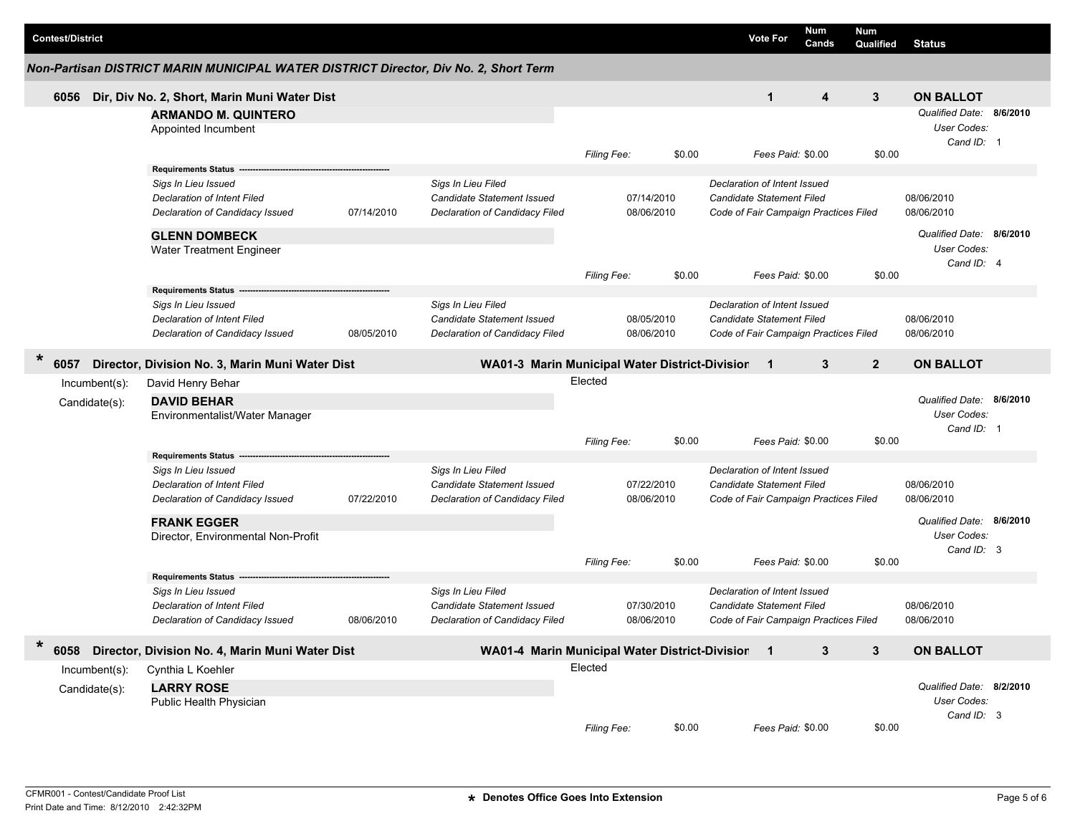| <b>Contest/District</b>                                                              |                                                 |            |                                                  |                    |        | <b>Vote For</b>                                                                                           | Num<br>Cands | Num<br>Qualified         | <b>Status</b>            |          |  |  |
|--------------------------------------------------------------------------------------|-------------------------------------------------|------------|--------------------------------------------------|--------------------|--------|-----------------------------------------------------------------------------------------------------------|--------------|--------------------------|--------------------------|----------|--|--|
| Non-Partisan DISTRICT MARIN MUNICIPAL WATER DISTRICT Director, Div No. 2, Short Term |                                                 |            |                                                  |                    |        |                                                                                                           |              |                          |                          |          |  |  |
| 6056                                                                                 | Dir, Div No. 2, Short, Marin Muni Water Dist    |            |                                                  |                    |        | $\mathbf{1}$                                                                                              | 4            | 3                        | <b>ON BALLOT</b>         |          |  |  |
|                                                                                      | <b>ARMANDO M. QUINTERO</b>                      |            |                                                  |                    |        |                                                                                                           |              |                          | Qualified Date: 8/6/2010 |          |  |  |
|                                                                                      | Appointed Incumbent                             |            |                                                  |                    |        |                                                                                                           |              |                          | User Codes:              |          |  |  |
|                                                                                      |                                                 |            |                                                  |                    |        |                                                                                                           |              |                          | Cand ID: 1               |          |  |  |
|                                                                                      |                                                 |            |                                                  | Filing Fee:        | \$0.00 | Fees Paid: \$0.00                                                                                         |              | \$0.00                   |                          |          |  |  |
|                                                                                      | <b>Requirements Status</b>                      |            |                                                  |                    |        |                                                                                                           |              |                          |                          |          |  |  |
|                                                                                      | Sigs In Lieu Issued                             |            | Sigs In Lieu Filed                               |                    |        | Declaration of Intent Issued                                                                              |              |                          |                          |          |  |  |
|                                                                                      | Declaration of Intent Filed                     |            | <b>Candidate Statement Issued</b>                | 07/14/2010         |        | <b>Candidate Statement Filed</b>                                                                          |              |                          | 08/06/2010<br>08/06/2010 |          |  |  |
|                                                                                      | Declaration of Candidacy Issued                 | 07/14/2010 | Declaration of Candidacy Filed                   | 08/06/2010         |        | Code of Fair Campaign Practices Filed                                                                     |              |                          |                          |          |  |  |
|                                                                                      | <b>GLENN DOMBECK</b>                            |            |                                                  |                    |        |                                                                                                           |              |                          | Qualified Date: 8/6/2010 |          |  |  |
|                                                                                      | Water Treatment Engineer                        |            |                                                  |                    |        |                                                                                                           |              |                          | User Codes:              |          |  |  |
|                                                                                      |                                                 |            |                                                  |                    |        |                                                                                                           |              |                          | Cand ID: 4               |          |  |  |
|                                                                                      |                                                 |            |                                                  | <b>Filing Fee:</b> | \$0.00 | Fees Paid: \$0.00                                                                                         |              | \$0.00                   |                          |          |  |  |
|                                                                                      | Requirements Status --                          |            |                                                  |                    |        |                                                                                                           |              |                          |                          |          |  |  |
|                                                                                      | Sigs In Lieu Issued                             |            | Sigs In Lieu Filed                               |                    |        | Declaration of Intent Issued                                                                              |              |                          |                          |          |  |  |
|                                                                                      | <b>Declaration of Intent Filed</b>              |            | <b>Candidate Statement Issued</b>                | 08/05/2010         |        | <b>Candidate Statement Filed</b>                                                                          |              |                          | 08/06/2010               |          |  |  |
|                                                                                      | Declaration of Candidacy Issued                 | 08/05/2010 | Declaration of Candidacy Filed                   | 08/06/2010         |        | Code of Fair Campaign Practices Filed                                                                     |              |                          | 08/06/2010               |          |  |  |
| ×                                                                                    |                                                 |            |                                                  |                    |        |                                                                                                           | 3            | $\overline{2}$           | <b>ON BALLOT</b>         |          |  |  |
| 6057                                                                                 | Director, Division No. 3, Marin Muni Water Dist |            | WA01-3 Marin Municipal Water District-Division 1 |                    |        |                                                                                                           |              |                          |                          |          |  |  |
| Incumbent(s):                                                                        | David Henry Behar                               |            | Elected                                          |                    |        |                                                                                                           |              |                          |                          |          |  |  |
| Candidate(s):                                                                        | <b>DAVID BEHAR</b>                              |            |                                                  |                    |        |                                                                                                           |              | Qualified Date: 8/6/2010 |                          |          |  |  |
|                                                                                      | Environmentalist/Water Manager                  |            |                                                  |                    |        |                                                                                                           |              |                          | User Codes:              |          |  |  |
|                                                                                      |                                                 |            |                                                  |                    |        | Fees Paid: \$0.00                                                                                         |              | \$0.00                   | Cand ID: 1               |          |  |  |
|                                                                                      | <b>Requirements Status</b>                      |            |                                                  | Filing Fee:        | \$0.00 |                                                                                                           |              |                          |                          |          |  |  |
|                                                                                      | Sigs In Lieu Issued                             |            | Sigs In Lieu Filed                               |                    |        |                                                                                                           |              |                          |                          |          |  |  |
|                                                                                      | Declaration of Intent Filed                     |            | <b>Candidate Statement Issued</b>                | 07/22/2010         |        | Declaration of Intent Issued<br><b>Candidate Statement Filed</b><br>Code of Fair Campaign Practices Filed |              |                          | 08/06/2010               |          |  |  |
|                                                                                      | Declaration of Candidacy Issued                 | 07/22/2010 | Declaration of Candidacy Filed                   | 08/06/2010         |        |                                                                                                           |              |                          | 08/06/2010               |          |  |  |
|                                                                                      |                                                 |            |                                                  |                    |        |                                                                                                           |              |                          |                          |          |  |  |
|                                                                                      | <b>FRANK EGGER</b>                              |            |                                                  |                    |        |                                                                                                           |              |                          | Qualified Date:          | 8/6/2010 |  |  |
|                                                                                      | Director, Environmental Non-Profit              |            |                                                  |                    |        |                                                                                                           |              |                          | User Codes:              |          |  |  |
|                                                                                      |                                                 |            |                                                  | <b>Filing Fee:</b> | \$0.00 | Fees Paid: \$0.00                                                                                         |              | \$0.00                   | Cand ID: 3               |          |  |  |
|                                                                                      | <b>Requirements Status -</b>                    |            |                                                  |                    |        |                                                                                                           |              |                          |                          |          |  |  |
|                                                                                      | Sigs In Lieu Issued                             |            | Sigs In Lieu Filed                               |                    |        | Declaration of Intent Issued                                                                              |              |                          |                          |          |  |  |
|                                                                                      | Declaration of Intent Filed                     |            | <b>Candidate Statement Issued</b>                | 07/30/2010         |        | <b>Candidate Statement Filed</b>                                                                          |              |                          | 08/06/2010               |          |  |  |
|                                                                                      | Declaration of Candidacy Issued                 | 08/06/2010 | Declaration of Candidacy Filed                   | 08/06/2010         |        | Code of Fair Campaign Practices Filed                                                                     |              |                          | 08/06/2010               |          |  |  |
|                                                                                      |                                                 |            |                                                  |                    |        |                                                                                                           |              |                          |                          |          |  |  |
| $\ast$<br>6058                                                                       | Director, Division No. 4, Marin Muni Water Dist |            | WA01-4 Marin Municipal Water District-Division 1 |                    |        |                                                                                                           | 3            | $\mathbf{3}$             | <b>ON BALLOT</b>         |          |  |  |
| Incumbent(s):                                                                        | Cynthia L Koehler                               |            |                                                  | Elected            |        |                                                                                                           |              |                          |                          |          |  |  |
|                                                                                      | <b>LARRY ROSE</b>                               |            |                                                  |                    |        |                                                                                                           |              |                          | Qualified Date: 8/2/2010 |          |  |  |
| Candidate(s):                                                                        | Public Health Physician                         |            |                                                  |                    |        |                                                                                                           |              |                          | User Codes:              |          |  |  |
|                                                                                      |                                                 |            |                                                  |                    |        |                                                                                                           |              |                          | Cand ID: 3               |          |  |  |
|                                                                                      |                                                 |            |                                                  | <b>Filing Fee:</b> | \$0.00 | Fees Paid: \$0.00                                                                                         |              | \$0.00                   |                          |          |  |  |